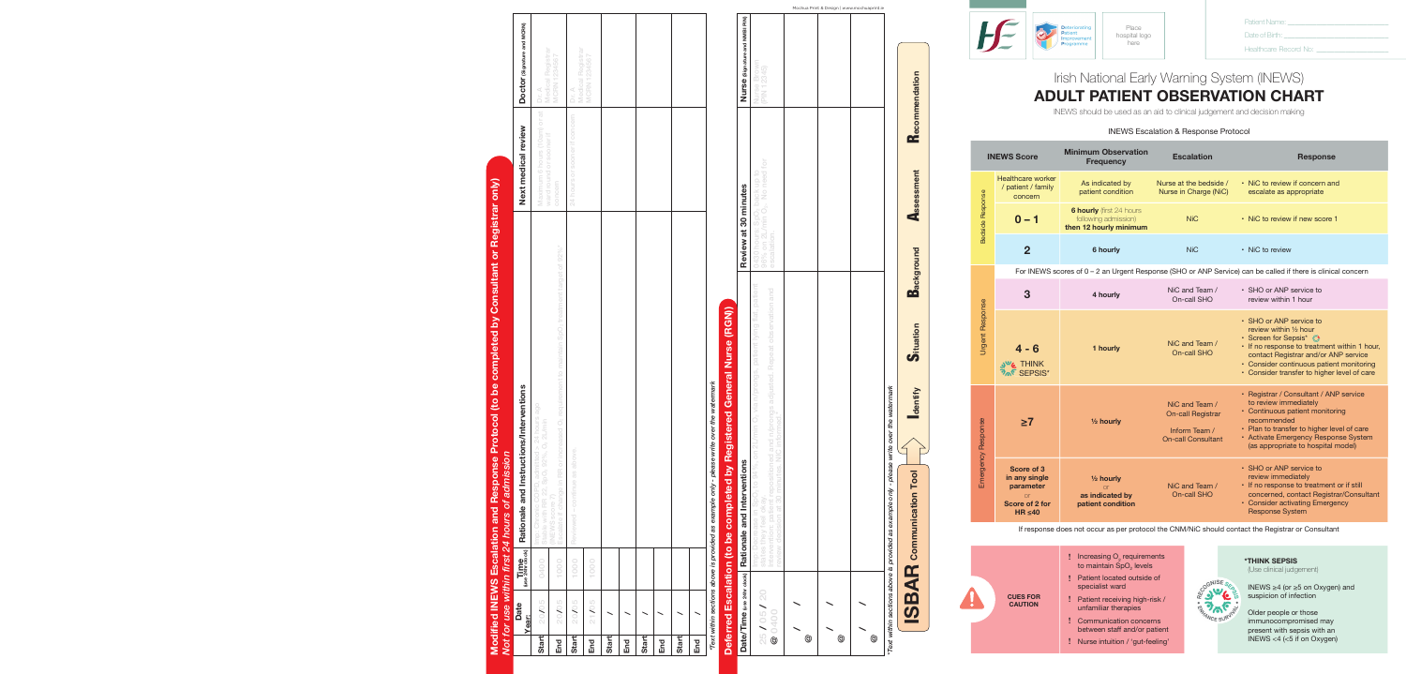Communication Tool

## Irish National Early Warning System (INEWS) **ADULT PATIENT OBSERVATION CHART** *Addressograph* **IRISH INAUCHAL LAHY VVAHIING SYSTEM (INEVVS)**<br> **A DI UU TU DATIFALT ODOFDI (ATIONI OLLADT ADULT PATIENT OBSERVATION CHART ADULT PATIENT OBSERVATION CHART**

*\*Text within sections above is provided as example only - please write over the watermark*

- C

## INEWS Escalation & Response Protocol **INEWS Escalation & Response Protocol INEWS Escalation & Response Protocol INEWS Escalation & Response Protocol**

**INEWS** should be used as an aid to clinical judgement and decision making INEWS should be used as an aid to clinical judgement and decision making INEWS should be used as an aid to clinical judgement and decision making

*\*Text within sections above is provided as example only - please write over the watermark*

*Addressograph*

**\*THINK SEPSIS**<br>(Use clinical judgement) (Use clinical judgement)

> suspicion of infection INEWS ≥4 (or ≥5 on Oxygen) and

present with sepsis with an<br>INEWS <4 (<5 if on Oxygen) Older people or those immunocompromised may present with sepsis with an

|                        | <b>INEWS Score</b>                                                                     | <b>Minimum Observation</b><br><b>Frequency</b>                                    | <b>Escalation</b>                                                                        | <b>Response</b>                                                                                                                                                                                                                                                |
|------------------------|----------------------------------------------------------------------------------------|-----------------------------------------------------------------------------------|------------------------------------------------------------------------------------------|----------------------------------------------------------------------------------------------------------------------------------------------------------------------------------------------------------------------------------------------------------------|
|                        | <b>Healthcare worker</b><br>/ patient / family<br>concern                              | As indicated by<br>patient condition                                              | Nurse at the bedside /<br>Nurse in Charge (NiC)                                          | • NiC to review if concern and<br>escalate as appropriate                                                                                                                                                                                                      |
| Bedside Response       | $0 - 1$                                                                                | <b>6 hourly</b> (first 24 hours<br>following admission)<br>then 12 hourly minimum | <b>NiC</b>                                                                               | • NiC to review if new score 1                                                                                                                                                                                                                                 |
|                        | $\overline{2}$                                                                         | 6 hourly                                                                          | <b>NiC</b>                                                                               | • NiC to review                                                                                                                                                                                                                                                |
|                        |                                                                                        |                                                                                   |                                                                                          | For INEWS scores of 0 - 2 an Urgent Response (SHO or ANP Service) can be called if there is clinical concern                                                                                                                                                   |
|                        | 3                                                                                      | 4 hourly                                                                          | NiC and Team /<br>On-call SHO                                                            | • SHO or ANP service to<br>review within 1 hour                                                                                                                                                                                                                |
| <b>Urgent Response</b> | $4 - 6$<br><b>JUG</b> THINK<br><b>PAP SEPSIS*</b>                                      | 1 hourly                                                                          | NiC and Team /<br>On-call SHO                                                            | • SHO or ANP service to<br>review within 1/2 hour<br>• Screen for Sepsis* *<br>• If no response to treatment within 1 hour,<br>contact Registrar and/or ANP service<br>• Consider continuous patient monitoring<br>• Consider transfer to higher level of care |
| Emergency Response     | $\geq 7$                                                                               | 1/ <sub>2</sub> hourly                                                            | NiC and Team /<br><b>On-call Registrar</b><br>Inform Team /<br><b>On-call Consultant</b> | • Registrar / Consultant / ANP service<br>to review immediately<br>• Continuous patient monitoring<br>recommended<br>• Plan to transfer to higher level of care<br>• Activate Emergency Response System<br>(as appropriate to hospital model)                  |
|                        | Score of 3<br>in any single<br>parameter<br>$\alpha$<br>Score of 2 for<br>$HR \leq 40$ | $1/2$ hourly<br><b>or</b><br>as indicated by<br>patient condition                 | NiC and Team /<br>On-call SHO                                                            | • SHO or ANP service to<br>review immediately<br>• If no response to treatment or if still<br>concerned, contact Registrar/Consultant<br>• Consider activating Emergency<br><b>Response System</b>                                                             |
|                        |                                                                                        |                                                                                   |                                                                                          | If response does not occur as per protocol the CNM/NiC should contact the Registrar or Consultant                                                                                                                                                              |
|                        |                                                                                        | Increasing O <sub>2</sub> requirements<br>to maintain SpO <sub>2</sub> levels     |                                                                                          | <b><i>*THINK SEPSIS</i></b><br>(Llse clinical iudgement)                                                                                                                                                                                                       |

 $cNISE$  $\begin{picture}(120,10) \put(0,0){\line(1,0){10}} \put(15,0){\line(1,0){10}} \put(15,0){\line(1,0){10}} \put(15,0){\line(1,0){10}} \put(15,0){\line(1,0){10}} \put(15,0){\line(1,0){10}} \put(15,0){\line(1,0){10}} \put(15,0){\line(1,0){10}} \put(15,0){\line(1,0){10}} \put(15,0){\line(1,0){10}} \put(15,0){\line(1,0){10}} \put(15,0){\line($ **ANGEL** VCE SUF

**Patient Name: Date of Birth:** Patient Name: \_\_\_\_\_\_\_\_\_\_\_\_\_\_\_\_\_\_\_\_\_\_\_\_\_\_\_\_

**Date of Birth:** HOSPITAL LOGO Date of Birth: \_\_\_\_\_\_\_\_\_\_\_\_\_\_\_\_\_\_\_\_\_\_\_\_\_\_\_\_\_

**Medical Record No: Medical Record No:**  Healthcare Record No: \_\_\_\_\_\_\_\_\_\_\_\_\_\_\_\_\_\_\_\_

ا - $\overline{E}$ /  $\mathbf{E}$ **Modified INEWS Escalation and Response Protocol (to be completed by Consultant or Registrar)**  *\*Text within sections above is provided as example only - please write over the watermark*

**Cues for Caution**  ➤ Patient receiving high-risk / unfamiliar therapies  $\Gamma$  Communication concerns between healthcare professionals and patients and patients and patients and patients and patients and patients and patients and patients and patients and patients and patients and patients and  $\frac{1}{2}$  ncreasing O<sub>2</sub> requirements **RUES FOR**  $\mathbf{C}$ **6XVSLFLRD 8 1 Patient le Elder Patient receiving high-risk /** ➤ Communication concerns between healthcare professionals and/or between healthcare professionals and patients **RU O**<sub>2</sub> levels<br>Loutside of Patient located outside of / / Increasing  $O<sub>2</sub>$  requirements to maintain SpO<sub>2</sub> levels specialist ward **!!!!!**

*\*Text within sections above is provided as example only - please write over the watermark*

*\*Text within sections above is provided as example only - please write over the watermark*

*Addressograph*

|                            | Deterred Escalation (to be completed by Registered General Nurse (RGN))                                                                                                                                                                                                           |                                                                                                      |                                |
|----------------------------|-----------------------------------------------------------------------------------------------------------------------------------------------------------------------------------------------------------------------------------------------------------------------------------|------------------------------------------------------------------------------------------------------|--------------------------------|
| Date/Time (use 24hr clock) | Rationale and Interventions                                                                                                                                                                                                                                                       | Review at 30 minutes                                                                                 | Nurse (Signature and NMBI PIN) |
| 25/05/20<br><b>@</b> 0400  | patient lying flat, patient<br>Repeat observation and<br>Imp: Decrease in SpO <sub>2</sub> to 94%, on 2L/min O <sub>2</sub> via n/prongs,<br>Intervention: patient repositioned and n/prongs adjusted.<br>review decision at 30 minutes. NIC informed.*<br>states they feel okay. | 96% on 2L/min O <sub>2</sub> . No need for<br>0430 hours: SpO <sub>2</sub> back up to<br>escalation. | Nurse Brown<br>(PIN 12345)     |
| $^{\circledR}$             |                                                                                                                                                                                                                                                                                   |                                                                                                      |                                |
| $^{\circledR}$             |                                                                                                                                                                                                                                                                                   |                                                                                                      |                                |
| $^{\circledR}$             |                                                                                                                                                                                                                                                                                   |                                                                                                      |                                |
|                            | Text within sections above is provided as example only - please write over the watermark                                                                                                                                                                                          |                                                                                                      |                                |

**Deferred Escalation (Nursing)** 



**Deferred Escalation (to be completed by Registered General Nurse (RGN))**

|              |                      |      | Modified INEWS Escalation and Response Protocol (to be completed by Consultant or Registrar only)<br>Not for use within first 24 hours of admission |                                    |                                   |
|--------------|----------------------|------|-----------------------------------------------------------------------------------------------------------------------------------------------------|------------------------------------|-----------------------------------|
|              | Date<br><b>Year:</b> | Time | Rationale and Instructions/Interventions                                                                                                            | Next medical review                | Doctor (Signature and MCRN)       |
| <b>Start</b> | 20/05                | 0400 | Imp: Chronic COPD, admitted > 24 hours ago<br>Stable with RR 22, SpO <sub>2</sub> 92%, O <sub>2</sub> 2L/min                                        | Maximum 6 hours (10am) or at       | <b>Medical Registrar</b><br>Dr. A |
| End          | 20/05                | 1000 | Escalate if change in RR or increased O <sub>2</sub> requirement to maintain SpO <sub>2</sub> treatment target of 92%*<br>(INEWS score 7)           | ward round or sooner if<br>concern | <b>MCRN 1234567</b>               |
| <b>Start</b> | 20/05                | 1000 | Reviewed - continue as above.                                                                                                                       | 24 hours or sooner if concern      | <b>Medical Registrar</b><br>Dr. A |
| End          | 21/05                | 1000 |                                                                                                                                                     |                                    | <b>MCRN 1234567</b>               |
| <b>Start</b> |                      |      |                                                                                                                                                     |                                    |                                   |
| End          |                      |      |                                                                                                                                                     |                                    |                                   |
| <b>Start</b> |                      |      |                                                                                                                                                     |                                    |                                   |
| End          |                      |      |                                                                                                                                                     |                                    |                                   |
| Start        |                      |      |                                                                                                                                                     |                                    |                                   |
| End          |                      |      |                                                                                                                                                     |                                    |                                   |
|              |                      |      |                                                                                                                                                     |                                    |                                   |

I**dentify** S**ituation** B**ackground** A**ssessment** R**ecommendation**

Background

**Situation** 

dentify

 $\mathbf{d}$ 

ation

 $\mathbf{p}^{\circ}$ 

- **immunocompromised may present with sepsis with an INEWS CONSUMI 1** Communication concerns
	- between staff and/or patient<br>Nurse intuition / 'qut-feeling'
	- Nurse intuition / 'gut-feeling'

**ISBAR Communication Tool**

Mochua Print & Design | www.mochuaprint.i e